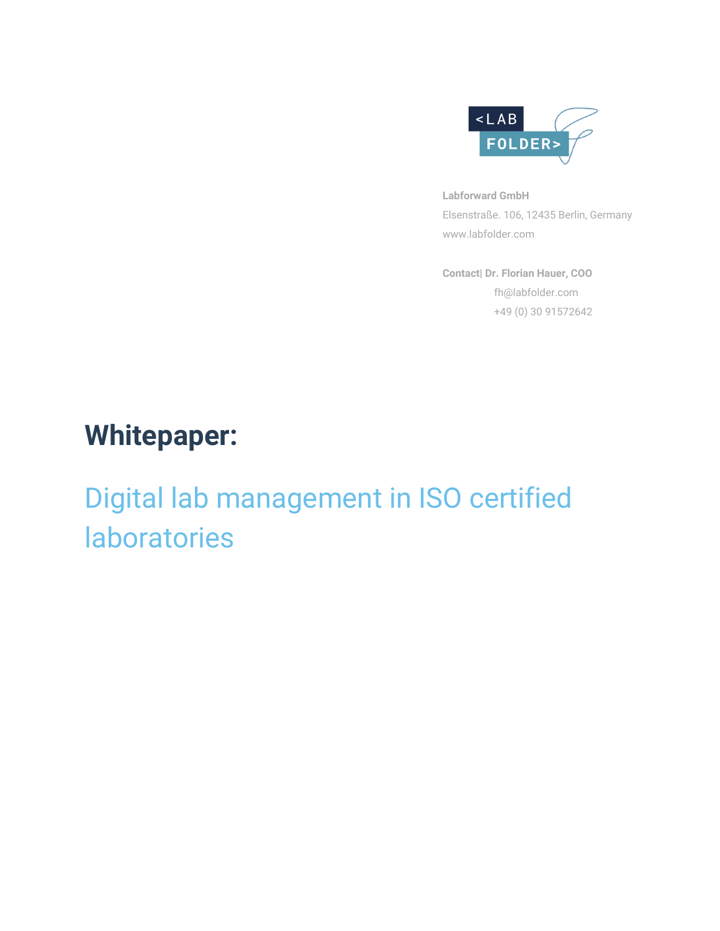

**Labforward GmbH** Elsenstraße. 106, 12435 Berlin, Germany www.labfolder.com

**Contact| Dr. Florian Hauer, COO** fh@labfolder.com +49 (0) 30 91572642

# **Whitepaper:**

# Digital lab management in ISO certified laboratories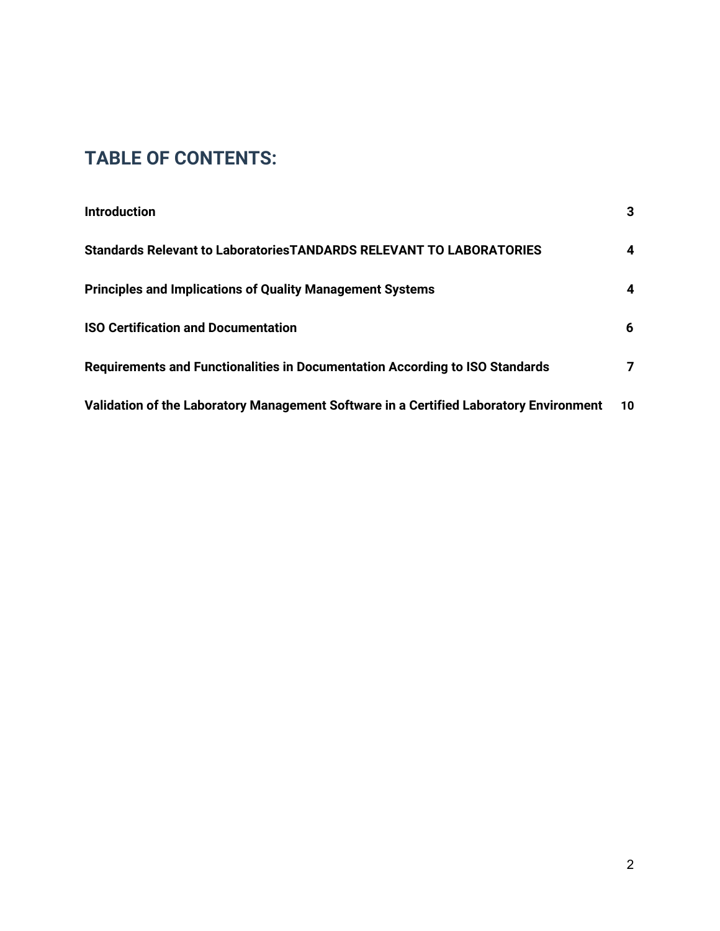# **TABLE OF CONTENTS:**

| <b>Introduction</b>                                                                    | 3  |
|----------------------------------------------------------------------------------------|----|
| Standards Relevant to Laboratories TANDARDS RELEVANT TO LABORATORIES                   | 4  |
| <b>Principles and Implications of Quality Management Systems</b>                       | 4  |
| <b>ISO Certification and Documentation</b>                                             | 6  |
| Requirements and Functionalities in Documentation According to ISO Standards           | 7  |
| Validation of the Laboratory Management Software in a Certified Laboratory Environment | 10 |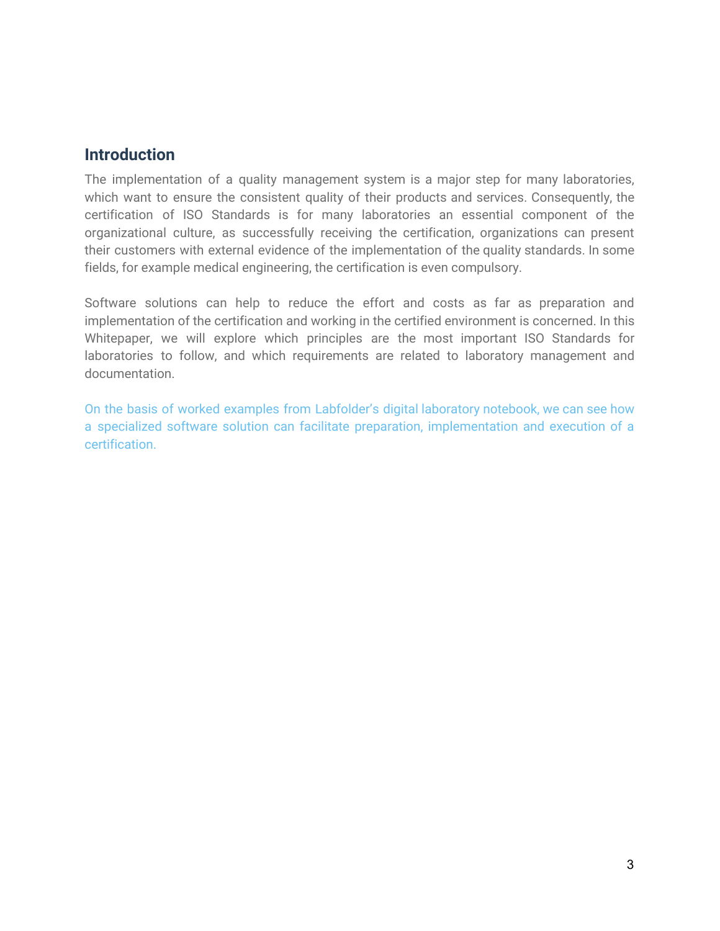### **Introduction**

The implementation of a quality management system is a major step for many laboratories, which want to ensure the consistent quality of their products and services. Consequently, the certification of ISO Standards is for many laboratories an essential component of the organizational culture, as successfully receiving the certification, organizations can present their customers with external evidence of the implementation of the quality standards. In some fields, for example medical engineering, the certification is even compulsory.

Software solutions can help to reduce the effort and costs as far as preparation and implementation of the certification and working in the certified environment is concerned. In this Whitepaper, we will explore which principles are the most important ISO Standards for laboratories to follow, and which requirements are related to laboratory management and documentation.

On the basis of worked examples from Labfolder's digital laboratory notebook, we can see how a specialized software solution can facilitate preparation, implementation and execution of a certification.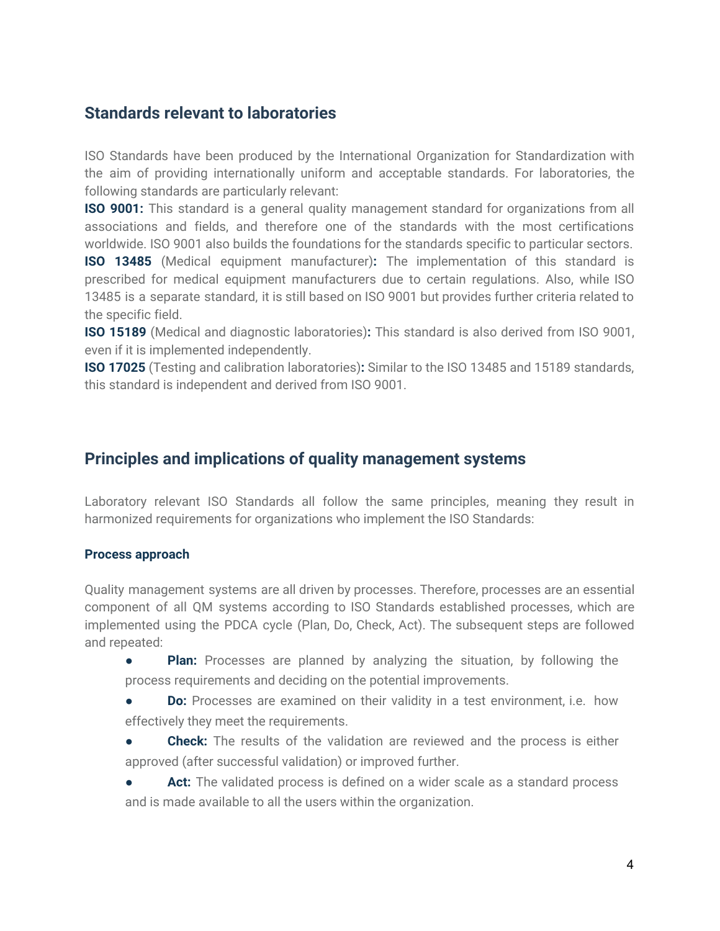### <span id="page-3-0"></span>**Standards relevant to laboratories**

ISO Standards have been produced by the International Organization for Standardization with the aim of providing internationally uniform and acceptable standards. For laboratories, the following standards are particularly relevant:

**ISO 9001:** This standard is a general quality management standard for organizations from all associations and fields, and therefore one of the standards with the most certifications worldwide. ISO 9001 also builds the foundations for the standards specific to particular sectors.

**ISO 13485** (Medical equipment manufacturer)**:** The implementation of this standard is prescribed for medical equipment manufacturers due to certain regulations. Also, while ISO 13485 is a separate standard, it is still based on ISO 9001 but provides further criteria related to the specific field.

**ISO 15189** (Medical and diagnostic laboratories)**:** This standard is also derived from ISO 9001, even if it is implemented independently.

**ISO 17025** (Testing and calibration laboratories)**:** Similar to the ISO 13485 and 15189 standards, this standard is independent and derived from ISO 9001.

# <span id="page-3-1"></span>**Principles and implications of quality management systems**

Laboratory relevant ISO Standards all follow the same principles, meaning they result in harmonized requirements for organizations who implement the ISO Standards:

#### **Process approach**

Quality management systems are all driven by processes. Therefore, processes are an essential component of all QM systems according to ISO Standards established processes, which are implemented using the PDCA cycle (Plan, Do, Check, Act). The subsequent steps are followed and repeated:

- **Plan:** Processes are planned by analyzing the situation, by following the process requirements and deciding on the potential improvements.
- **Do:** Processes are examined on their validity in a test environment, i.e. how effectively they meet the requirements.
- **Check:** The results of the validation are reviewed and the process is either approved (after successful validation) or improved further.
- Act: The validated process is defined on a wider scale as a standard process and is made available to all the users within the organization.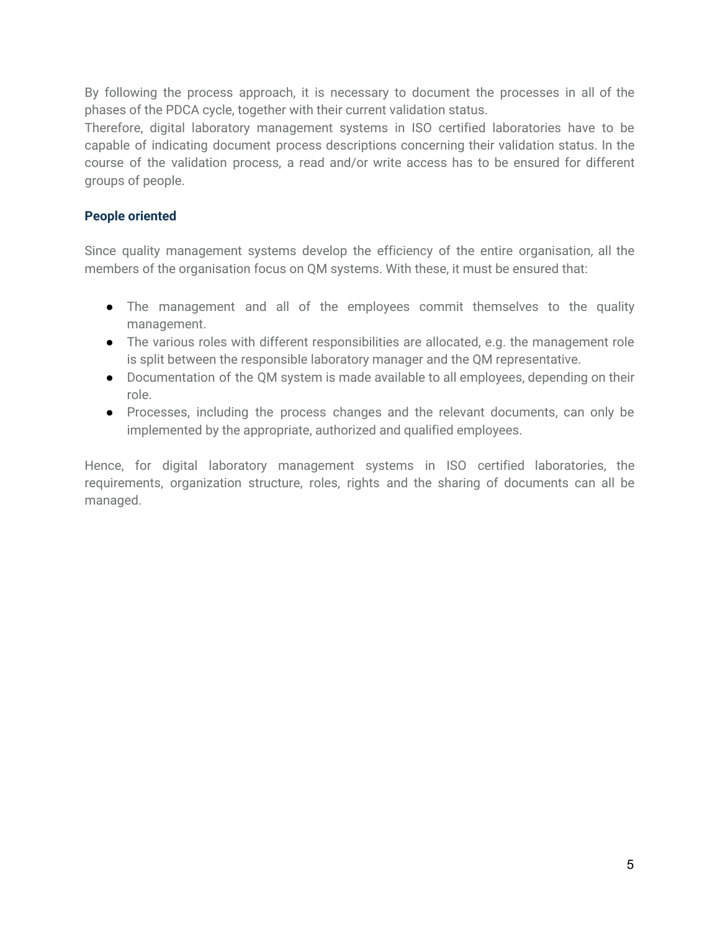By following the process approach, it is necessary to document the processes in all of the phases of the PDCA cycle, together with their current validation status.

Therefore, digital laboratory management systems in ISO certified laboratories have to be capable of indicating document process descriptions concerning their validation status. In the course of the validation process, a read and/or write access has to be ensured for different groups of people.

#### **People oriented**

Since quality management systems develop the efficiency of the entire organisation, all the members of the organisation focus on QM systems. With these, it must be ensured that:

- The management and all of the employees commit themselves to the quality management.
- The various roles with different responsibilities are allocated, e.g. the management role is split between the responsible laboratory manager and the QM representative.
- Documentation of the QM system is made available to all employees, depending on their role.
- Processes, including the process changes and the relevant documents, can only be implemented by the appropriate, authorized and qualified employees.

Hence, for digital laboratory management systems in ISO certified laboratories, the requirements, organization structure, roles, rights and the sharing of documents can all be managed.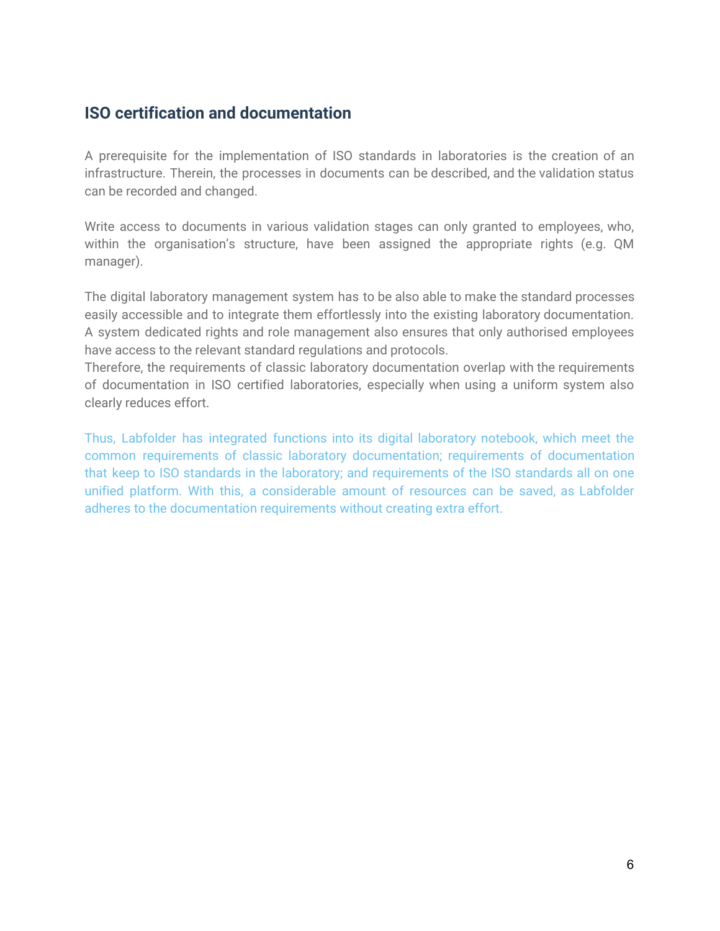# <span id="page-5-0"></span>**ISO certification and documentation**

A prerequisite for the implementation of ISO standards in laboratories is the creation of an infrastructure. Therein, the processes in documents can be described, and the validation status can be recorded and changed.

Write access to documents in various validation stages can only granted to employees, who, within the organisation's structure, have been assigned the appropriate rights (e.g. QM manager).

The digital laboratory management system has to be also able to make the standard processes easily accessible and to integrate them effortlessly into the existing laboratory documentation. A system dedicated rights and role management also ensures that only authorised employees have access to the relevant standard regulations and protocols.

Therefore, the requirements of classic laboratory documentation overlap with the requirements of documentation in ISO certified laboratories, especially when using a uniform system also clearly reduces effort.

Thus, Labfolder has integrated functions into its digital laboratory notebook, which meet the common requirements of classic laboratory documentation; requirements of documentation that keep to ISO standards in the laboratory; and requirements of the ISO standards all on one unified platform. With this, a considerable amount of resources can be saved, as Labfolder adheres to the documentation requirements without creating extra effort.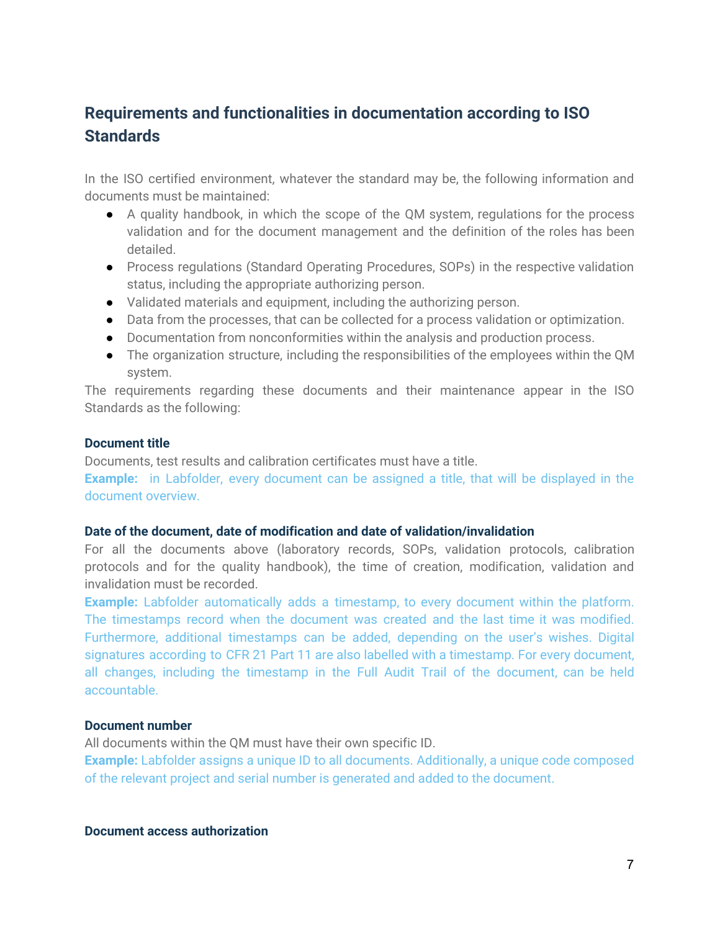# <span id="page-6-0"></span>**Requirements and functionalities in documentation according to ISO Standards**

In the ISO certified environment, whatever the standard may be, the following information and documents must be maintained:

- A quality handbook, in which the scope of the QM system, regulations for the process validation and for the document management and the definition of the roles has been detailed.
- Process regulations (Standard Operating Procedures, SOPs) in the respective validation status, including the appropriate authorizing person.
- Validated materials and equipment, including the authorizing person.
- Data from the processes, that can be collected for a process validation or optimization.
- Documentation from nonconformities within the analysis and production process.
- The organization structure, including the responsibilities of the employees within the QM system.

The requirements regarding these documents and their maintenance appear in the ISO Standards as the following:

#### **Document title**

Documents, test results and calibration certificates must have a title.

**Example:** in Labfolder, every document can be assigned a title, that will be displayed in the document overview.

#### **Date of the document, date of modification and date of validation/invalidation**

For all the documents above (laboratory records, SOPs, validation protocols, calibration protocols and for the quality handbook), the time of creation, modification, validation and invalidation must be recorded.

**Example:** Labfolder automatically adds a timestamp, to every document within the platform. The timestamps record when the document was created and the last time it was modified. Furthermore, additional timestamps can be added, depending on the user's wishes. Digital signatures according to CFR 21 Part 11 are also labelled with a timestamp. For every document, all changes, including the timestamp in the Full Audit Trail of the document, can be held accountable.

#### **Document number**

All documents within the QM must have their own specific ID.

**Example:** Labfolder assigns a unique ID to all documents. Additionally, a unique code composed of the relevant project and serial number is generated and added to the document.

**Document access authorization**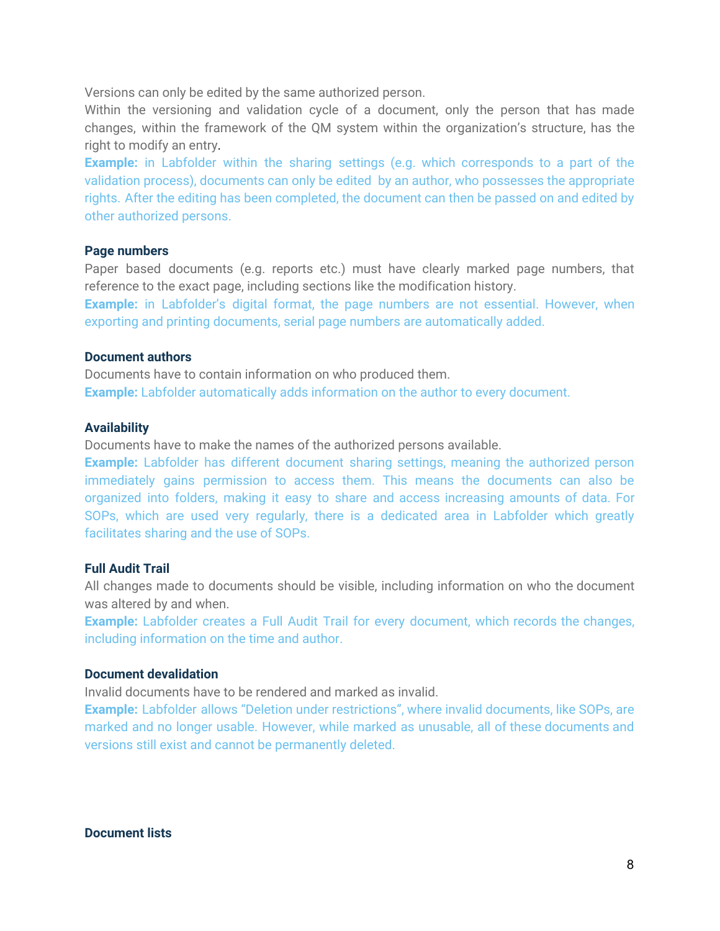Versions can only be edited by the same authorized person.

Within the versioning and validation cycle of a document, only the person that has made changes, within the framework of the QM system within the organization's structure, has the right to modify an entry.

**Example:** in Labfolder within the sharing settings (e.g. which corresponds to a part of the validation process), documents can only be edited by an author, who possesses the appropriate rights. After the editing has been completed, the document can then be passed on and edited by other authorized persons.

#### **Page numbers**

Paper based documents (e.g. reports etc.) must have clearly marked page numbers, that reference to the exact page, including sections like the modification history.

**Example:** in Labfolder's digital format, the page numbers are not essential. However, when exporting and printing documents, serial page numbers are automatically added.

#### **Document authors**

Documents have to contain information on who produced them. **Example:** Labfolder automatically adds information on the author to every document.

#### **Availability**

Documents have to make the names of the authorized persons available.

**Example:** Labfolder has different document sharing settings, meaning the authorized person immediately gains permission to access them. This means the documents can also be organized into folders, making it easy to share and access increasing amounts of data. For SOPs, which are used very regularly, there is a dedicated area in Labfolder which greatly facilitates sharing and the use of SOPs.

#### **Full Audit Trail**

All changes made to documents should be visible, including information on who the document was altered by and when.

**Example:** Labfolder creates a Full Audit Trail for every document, which records the changes, including information on the time and author.

#### **Document devalidation**

Invalid documents have to be rendered and marked as invalid.

**Example:** Labfolder allows "Deletion under restrictions", where invalid documents, like SOPs, are marked and no longer usable. However, while marked as unusable, all of these documents and versions still exist and cannot be permanently deleted.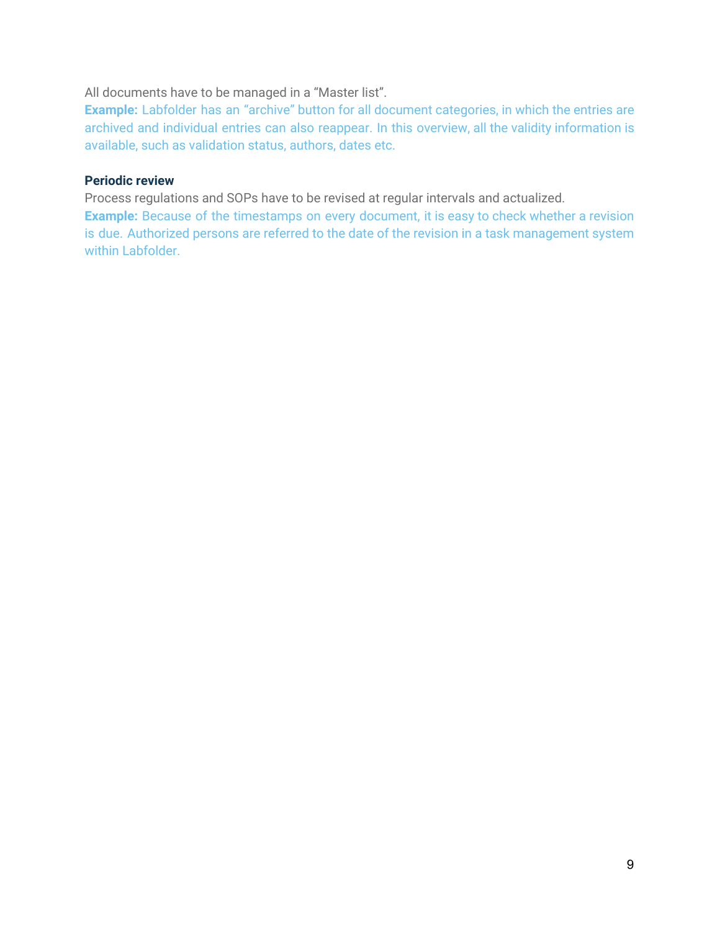#### All documents have to be managed in a "Master list".

**Example:** Labfolder has an "archive" button for all document categories, in which the entries are archived and individual entries can also reappear. In this overview, all the validity information is available, such as validation status, authors, dates etc.

#### **Periodic review**

Process regulations and SOPs have to be revised at regular intervals and actualized.

**Example:** Because of the timestamps on every document, it is easy to check whether a revision is due. Authorized persons are referred to the date of the revision in a task management system within Labfolder.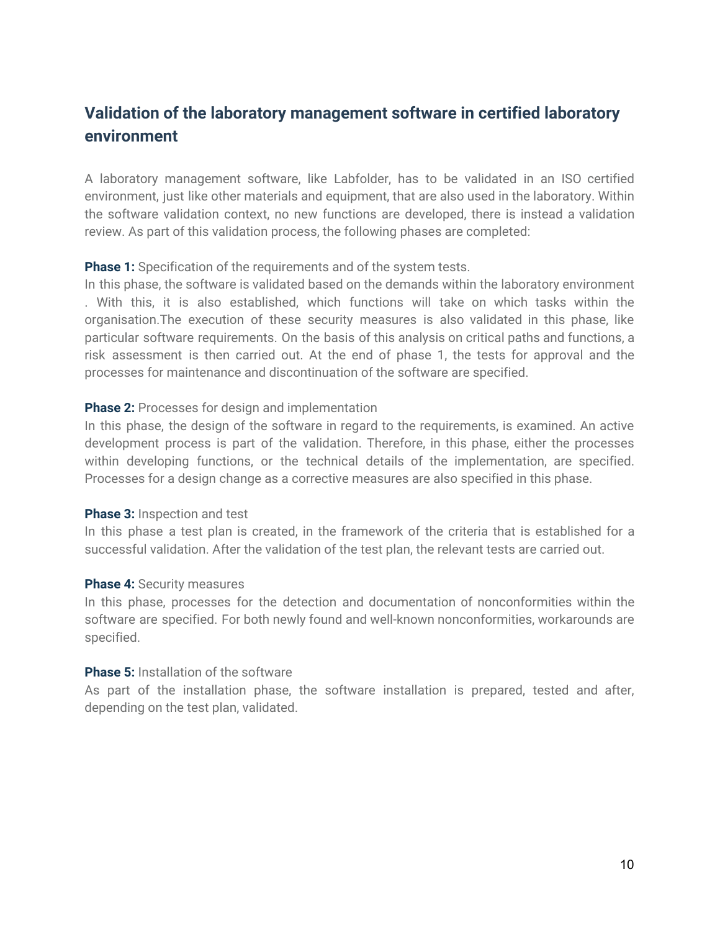# <span id="page-9-0"></span>**Validation of the laboratory management software in certified laboratory environment**

A laboratory management software, like Labfolder, has to be validated in an ISO certified environment, just like other materials and equipment, that are also used in the laboratory. Within the software validation context, no new functions are developed, there is instead a validation review. As part of this validation process, the following phases are completed:

**Phase 1:** Specification of the requirements and of the system tests.

In this phase, the software is validated based on the demands within the laboratory environment . With this, it is also established, which functions will take on which tasks within the organisation.The execution of these security measures is also validated in this phase, like particular software requirements. On the basis of this analysis on critical paths and functions, a risk assessment is then carried out. At the end of phase 1, the tests for approval and the processes for maintenance and discontinuation of the software are specified.

#### **Phase 2:** Processes for design and implementation

In this phase, the design of the software in regard to the requirements, is examined. An active development process is part of the validation. Therefore, in this phase, either the processes within developing functions, or the technical details of the implementation, are specified. Processes for a design change as a corrective measures are also specified in this phase.

#### **Phase 3:** Inspection and test

In this phase a test plan is created, in the framework of the criteria that is established for a successful validation. After the validation of the test plan, the relevant tests are carried out.

#### **Phase 4:** Security measures

In this phase, processes for the detection and documentation of nonconformities within the software are specified. For both newly found and well-known nonconformities, workarounds are specified.

#### **Phase 5:** Installation of the software

As part of the installation phase, the software installation is prepared, tested and after, depending on the test plan, validated.